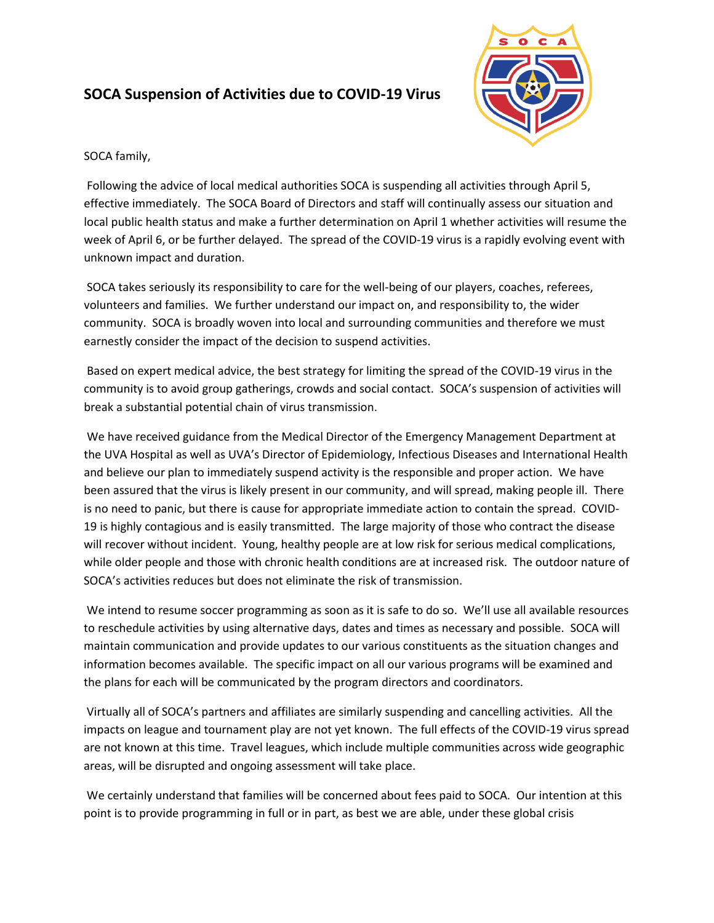## **SOCA Suspension of Activities due to COVID-19 Virus**



SOCA family,

Following the advice of local medical authorities SOCA is suspending all activities through April 5, effective immediately. The SOCA Board of Directors and staff will continually assess our situation and local public health status and make a further determination on April 1 whether activities will resume the week of April 6, or be further delayed. The spread of the COVID-19 virus is a rapidly evolving event with unknown impact and duration.

SOCA takes seriously its responsibility to care for the well-being of our players, coaches, referees, volunteers and families. We further understand our impact on, and responsibility to, the wider community. SOCA is broadly woven into local and surrounding communities and therefore we must earnestly consider the impact of the decision to suspend activities.

Based on expert medical advice, the best strategy for limiting the spread of the COVID-19 virus in the community is to avoid group gatherings, crowds and social contact. SOCA's suspension of activities will break a substantial potential chain of virus transmission.

We have received guidance from the Medical Director of the Emergency Management Department at the UVA Hospital as well as UVA's Director of Epidemiology, Infectious Diseases and International Health and believe our plan to immediately suspend activity is the responsible and proper action. We have been assured that the virus is likely present in our community, and will spread, making people ill. There is no need to panic, but there is cause for appropriate immediate action to contain the spread. COVID-19 is highly contagious and is easily transmitted. The large majority of those who contract the disease will recover without incident. Young, healthy people are at low risk for serious medical complications, while older people and those with chronic health conditions are at increased risk. The outdoor nature of SOCA's activities reduces but does not eliminate the risk of transmission.

We intend to resume soccer programming as soon as it is safe to do so. We'll use all available resources to reschedule activities by using alternative days, dates and times as necessary and possible. SOCA will maintain communication and provide updates to our various constituents as the situation changes and information becomes available. The specific impact on all our various programs will be examined and the plans for each will be communicated by the program directors and coordinators.

Virtually all of SOCA's partners and affiliates are similarly suspending and cancelling activities. All the impacts on league and tournament play are not yet known. The full effects of the COVID-19 virus spread are not known at this time. Travel leagues, which include multiple communities across wide geographic areas, will be disrupted and ongoing assessment will take place.

We certainly understand that families will be concerned about fees paid to SOCA. Our intention at this point is to provide programming in full or in part, as best we are able, under these global crisis